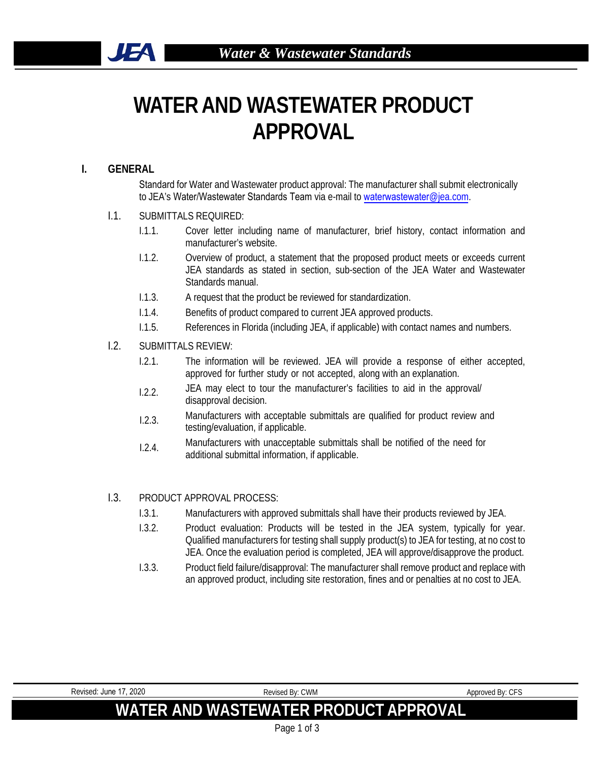# **WATER AND WASTEWATER PRODUCT APPROVAL**

### **I. GENERAL**

**JEA** 

Standard for Water and Wastewater product approval: The manufacturer shall submit electronically to JEA's Water/Wastewater Standards Team via e-mail to [waterwastewa](mailto:uvcrequests@jea.com)ter@jea.com.

- I.1. SUBMITTALS REQUIRED:
	- I.1.1. Cover letter including name of manufacturer, brief history, contact information and manufacturer's website.
	- I.1.2. Overview of product, a statement that the proposed product meets or exceeds current JEA standards as stated in section, sub-section of the JEA Water and Wastewater Standards manual.
	- I.1.3. A request that the product be reviewed for standardization.
	- I.1.4. Benefits of product compared to current JEA approved products.
	- I.1.5. References in Florida (including JEA, if applicable) with contact names and numbers.
- I.2. SUBMITTALS REVIEW:
	- I.2.1. The information will be reviewed. JEA will provide a response of either accepted, approved for further study or not accepted, along with an explanation.
	- I.2.2. JEA may elect to tour the manufacturer's facilities to aid in the approval/ disapproval decision.
	- I.2.3. Manufacturers with acceptable submittals are qualified for product review and testing/evaluation, if applicable.
	- I.2.4. Manufacturers with unacceptable submittals shall be notified of the need for additional submittal information, if applicable.

#### I.3. PRODUCT APPROVAL PROCESS:

- I.3.1. Manufacturers with approved submittals shall have their products reviewed by JEA.
- I.3.2. Product evaluation: Products will be tested in the JEA system, typically for year. Qualified manufacturers for testing shall supply product(s) to JEA for testing, at no cost to JEA. Once the evaluation period is completed, JEA will approve/disapprove the product.
- I.3.3. Product field failure/disapproval: The manufacturer shall remove product and replace with an approved product, including site restoration, fines and or penalties at no cost to JEA.

| Revised: June 17, 2020                | Revised By: CWM | Approved By: CFS |  |
|---------------------------------------|-----------------|------------------|--|
| WATER AND WASTEWATER PRODUCT APPROVAL |                 |                  |  |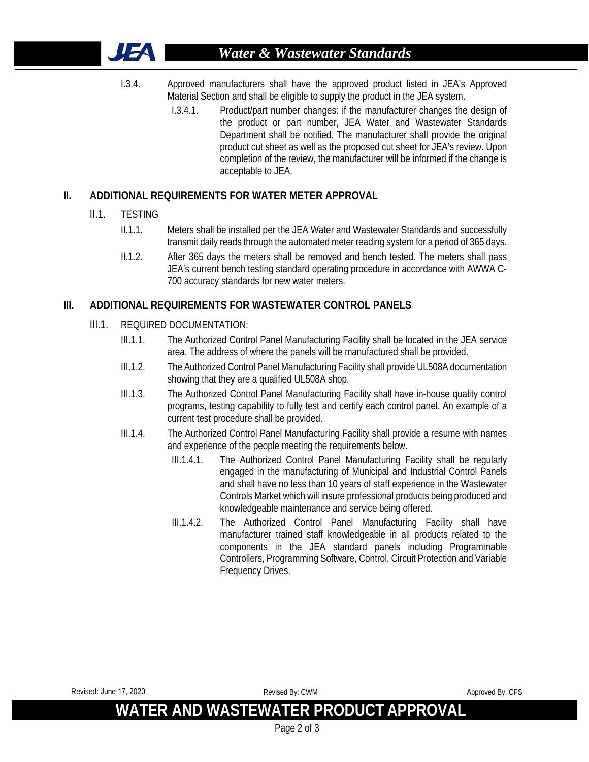

- I.3.4. Approved manufacturers shall have the approved product listed in JEA's Approved Material Section and shall be eligible to supply the product in the JEA system.
	- I.3.4.1. Product/part number changes: if the manufacturer changes the design of the product or part number, JEA Water and Wastewater Standards Department shall be notified. The manufacturer shall provide the original product cut sheet as well as the proposed cut sheet for JEA's review. Upon completion of the review, the manufacturer will be informed if the change is acceptable to JEA.

## **II. ADDITIONAL REQUIREMENTS FOR WATER METER APPROVAL**

- II.1. TESTING
	- II.1.1. Meters shall be installed per the JEA Water and Wastewater Standards and successfully transmit daily reads through the automated meter reading system for a period of 365 days.
	- II.1.2. After 365 days the meters shall be removed and bench tested. The meters shall pass JEA's current bench testing standard operating procedure in accordance with AWWA C-700 accuracy standards for new water meters.

## **III. ADDITIONAL REQUIREMENTS FOR WASTEWATER CONTROL PANELS**

- III.1. REQUIRED DOCUMENTATION:
	- III.1.1. The Authorized Control Panel Manufacturing Facility shall be located in the JEA service area. The address of where the panels will be manufactured shall be provided.
	- III.1.2. The Authorized Control Panel Manufacturing Facility shall provide UL508A documentation showing that they are a qualified UL508A shop.
	- III.1.3. The Authorized Control Panel Manufacturing Facility shall have in-house quality control programs, testing capability to fully test and certify each control panel. An example of a current test procedure shall be provided.
	- III.1.4. The Authorized Control Panel Manufacturing Facility shall provide a resume with names and experience of the people meeting the requirements below.
		- III.1.4.1. The Authorized Control Panel Manufacturing Facility shall be regularly engaged in the manufacturing of Municipal and Industrial Control Panels and shall have no less than 10 years of staff experience in the Wastewater Controls Market which will insure professional products being produced and knowledgeable maintenance and service being offered.
		- III.1.4.2. The Authorized Control Panel Manufacturing Facility shall have manufacturer trained staff knowledgeable in all products related to the components in the JEA standard panels including Programmable Controllers, Programming Software, Control, Circuit Protection and Variable Frequency Drives.

| Revised: June 17, 2020                | Revised By: CWM | Approved By: CFS |  |
|---------------------------------------|-----------------|------------------|--|
| WATER AND WASTEWATER PRODUCT APPROVAL |                 |                  |  |